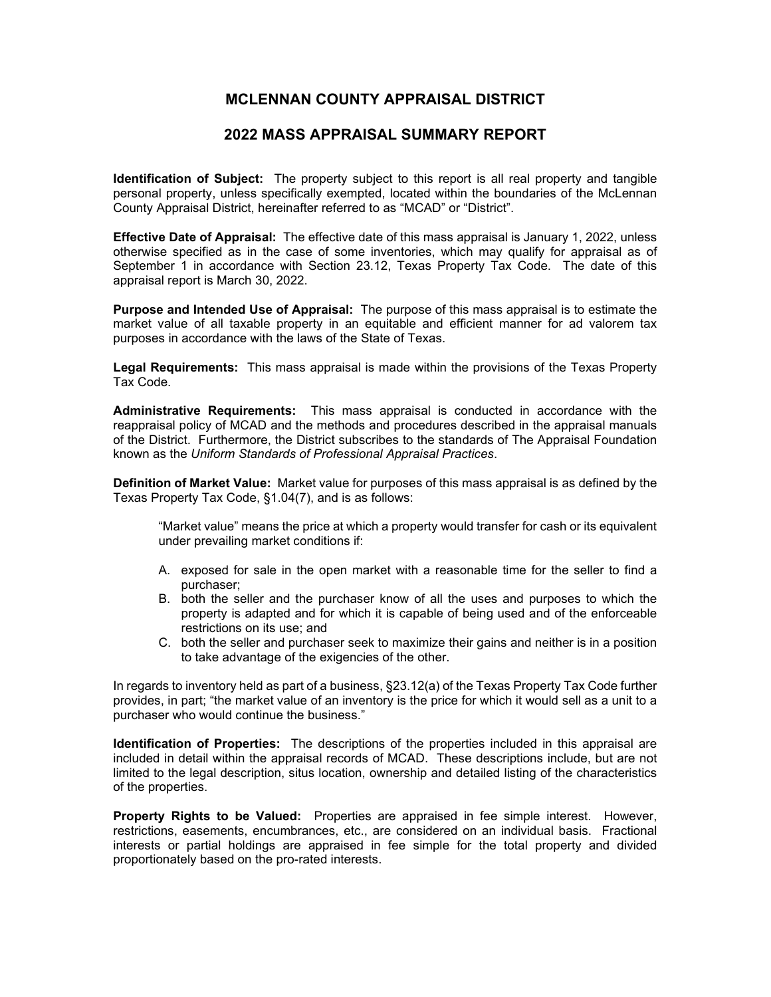## **MCLENNAN COUNTY APPRAISAL DISTRICT**

## **2022 MASS APPRAISAL SUMMARY REPORT**

**Identification of Subject:** The property subject to this report is all real property and tangible personal property, unless specifically exempted, located within the boundaries of the McLennan County Appraisal District, hereinafter referred to as "MCAD" or "District".

**Effective Date of Appraisal:** The effective date of this mass appraisal is January 1, 2022, unless otherwise specified as in the case of some inventories, which may qualify for appraisal as of September 1 in accordance with Section 23.12, Texas Property Tax Code. The date of this appraisal report is March 30, 2022.

**Purpose and Intended Use of Appraisal:** The purpose of this mass appraisal is to estimate the market value of all taxable property in an equitable and efficient manner for ad valorem tax purposes in accordance with the laws of the State of Texas.

**Legal Requirements:** This mass appraisal is made within the provisions of the Texas Property Tax Code.

**Administrative Requirements:** This mass appraisal is conducted in accordance with the reappraisal policy of MCAD and the methods and procedures described in the appraisal manuals of the District. Furthermore, the District subscribes to the standards of The Appraisal Foundation known as the *Uniform Standards of Professional Appraisal Practices*.

**Definition of Market Value:** Market value for purposes of this mass appraisal is as defined by the Texas Property Tax Code, §1.04(7), and is as follows:

"Market value" means the price at which a property would transfer for cash or its equivalent under prevailing market conditions if:

- A. exposed for sale in the open market with a reasonable time for the seller to find a purchaser;
- B. both the seller and the purchaser know of all the uses and purposes to which the property is adapted and for which it is capable of being used and of the enforceable restrictions on its use; and
- C. both the seller and purchaser seek to maximize their gains and neither is in a position to take advantage of the exigencies of the other.

In regards to inventory held as part of a business, §23.12(a) of the Texas Property Tax Code further provides, in part; "the market value of an inventory is the price for which it would sell as a unit to a purchaser who would continue the business."

**Identification of Properties:** The descriptions of the properties included in this appraisal are included in detail within the appraisal records of MCAD. These descriptions include, but are not limited to the legal description, situs location, ownership and detailed listing of the characteristics of the properties.

**Property Rights to be Valued:** Properties are appraised in fee simple interest. However, restrictions, easements, encumbrances, etc., are considered on an individual basis. Fractional interests or partial holdings are appraised in fee simple for the total property and divided proportionately based on the pro-rated interests.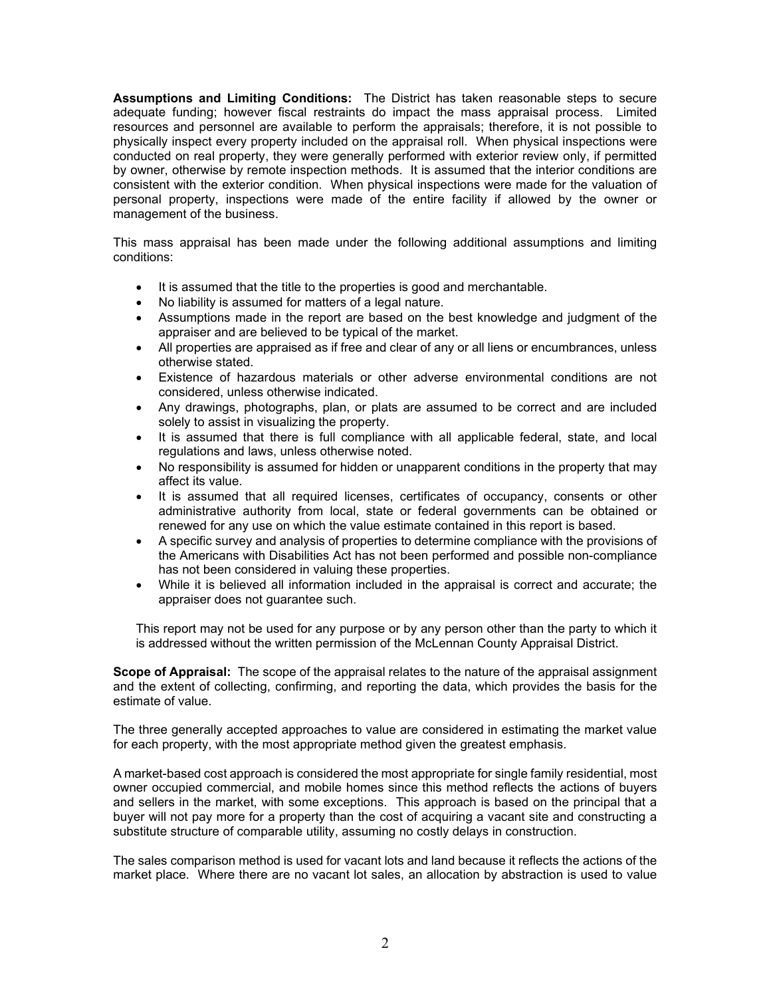**Assumptions and Limiting Conditions:** The District has taken reasonable steps to secure adequate funding; however fiscal restraints do impact the mass appraisal process. Limited resources and personnel are available to perform the appraisals; therefore, it is not possible to physically inspect every property included on the appraisal roll. When physical inspections were conducted on real property, they were generally performed with exterior review only, if permitted by owner, otherwise by remote inspection methods. It is assumed that the interior conditions are consistent with the exterior condition. When physical inspections were made for the valuation of personal property, inspections were made of the entire facility if allowed by the owner or management of the business.

This mass appraisal has been made under the following additional assumptions and limiting conditions:

- It is assumed that the title to the properties is good and merchantable.
- No liability is assumed for matters of a legal nature.
- Assumptions made in the report are based on the best knowledge and judgment of the appraiser and are believed to be typical of the market.
- All properties are appraised as if free and clear of any or all liens or encumbrances, unless otherwise stated.
- Existence of hazardous materials or other adverse environmental conditions are not considered, unless otherwise indicated.
- Any drawings, photographs, plan, or plats are assumed to be correct and are included solely to assist in visualizing the property.
- It is assumed that there is full compliance with all applicable federal, state, and local regulations and laws, unless otherwise noted.
- No responsibility is assumed for hidden or unapparent conditions in the property that may affect its value.
- It is assumed that all required licenses, certificates of occupancy, consents or other administrative authority from local, state or federal governments can be obtained or renewed for any use on which the value estimate contained in this report is based.
- A specific survey and analysis of properties to determine compliance with the provisions of the Americans with Disabilities Act has not been performed and possible non-compliance has not been considered in valuing these properties.
- While it is believed all information included in the appraisal is correct and accurate; the appraiser does not guarantee such.

This report may not be used for any purpose or by any person other than the party to which it is addressed without the written permission of the McLennan County Appraisal District.

**Scope of Appraisal:** The scope of the appraisal relates to the nature of the appraisal assignment and the extent of collecting, confirming, and reporting the data, which provides the basis for the estimate of value.

The three generally accepted approaches to value are considered in estimating the market value for each property, with the most appropriate method given the greatest emphasis.

A market-based cost approach is considered the most appropriate for single family residential, most owner occupied commercial, and mobile homes since this method reflects the actions of buyers and sellers in the market, with some exceptions. This approach is based on the principal that a buyer will not pay more for a property than the cost of acquiring a vacant site and constructing a substitute structure of comparable utility, assuming no costly delays in construction.

The sales comparison method is used for vacant lots and land because it reflects the actions of the market place. Where there are no vacant lot sales, an allocation by abstraction is used to value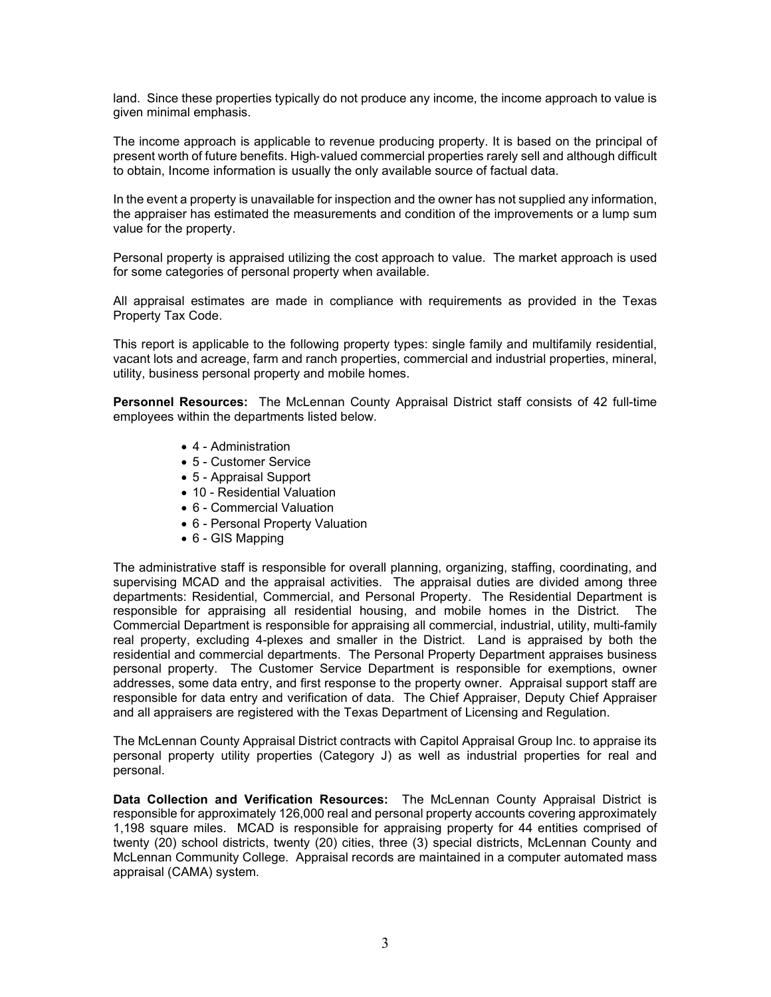land. Since these properties typically do not produce any income, the income approach to value is given minimal emphasis.

The income approach is applicable to revenue producing property. It is based on the principal of present worth of future benefits. High‐valued commercial properties rarely sell and although difficult to obtain, Income information is usually the only available source of factual data.

In the event a property is unavailable for inspection and the owner has not supplied any information, the appraiser has estimated the measurements and condition of the improvements or a lump sum value for the property.

Personal property is appraised utilizing the cost approach to value. The market approach is used for some categories of personal property when available.

All appraisal estimates are made in compliance with requirements as provided in the Texas Property Tax Code.

This report is applicable to the following property types: single family and multifamily residential, vacant lots and acreage, farm and ranch properties, commercial and industrial properties, mineral, utility, business personal property and mobile homes.

**Personnel Resources:** The McLennan County Appraisal District staff consists of 42 full-time employees within the departments listed below.

- 4 Administration
- 5 Customer Service
- 5 Appraisal Support
- 10 Residential Valuation
- 6 Commercial Valuation
- 6 Personal Property Valuation
- 6 GIS Mapping

The administrative staff is responsible for overall planning, organizing, staffing, coordinating, and supervising MCAD and the appraisal activities. The appraisal duties are divided among three departments: Residential, Commercial, and Personal Property. The Residential Department is responsible for appraising all residential housing, and mobile homes in the District. The Commercial Department is responsible for appraising all commercial, industrial, utility, multi-family real property, excluding 4-plexes and smaller in the District. Land is appraised by both the residential and commercial departments. The Personal Property Department appraises business personal property. The Customer Service Department is responsible for exemptions, owner addresses, some data entry, and first response to the property owner. Appraisal support staff are responsible for data entry and verification of data. The Chief Appraiser, Deputy Chief Appraiser and all appraisers are registered with the Texas Department of Licensing and Regulation.

The McLennan County Appraisal District contracts with Capitol Appraisal Group Inc. to appraise its personal property utility properties (Category J) as well as industrial properties for real and personal.

**Data Collection and Verification Resources:** The McLennan County Appraisal District is responsible for approximately 126,000 real and personal property accounts covering approximately 1,198 square miles. MCAD is responsible for appraising property for 44 entities comprised of twenty (20) school districts, twenty (20) cities, three (3) special districts, McLennan County and McLennan Community College. Appraisal records are maintained in a computer automated mass appraisal (CAMA) system.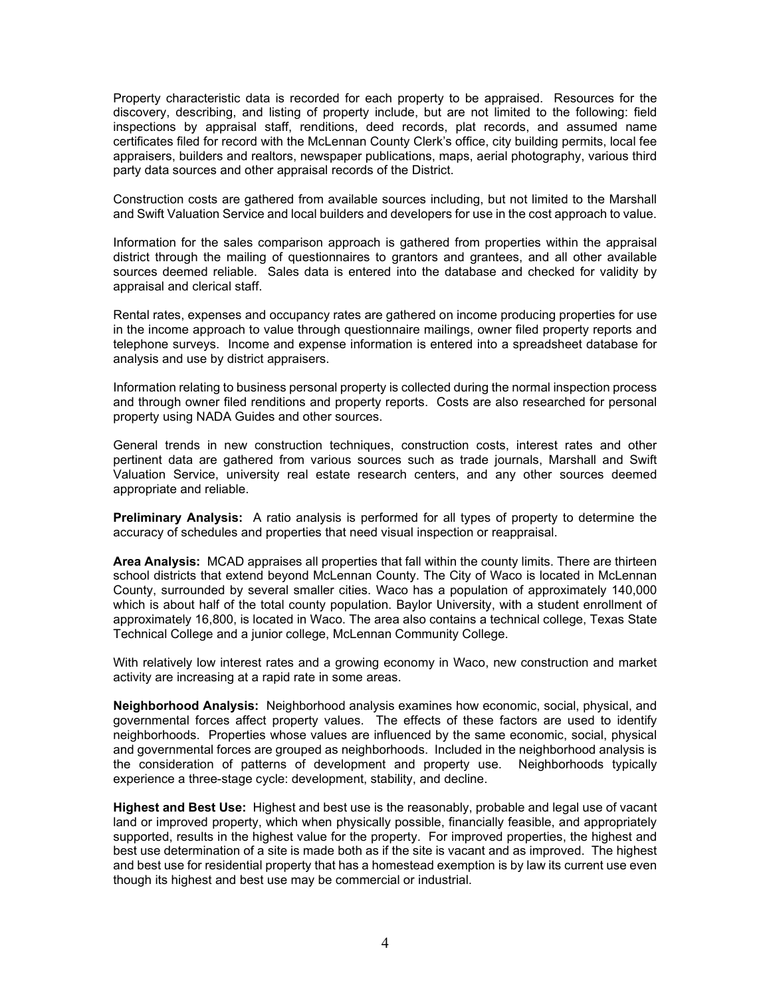Property characteristic data is recorded for each property to be appraised. Resources for the discovery, describing, and listing of property include, but are not limited to the following: field inspections by appraisal staff, renditions, deed records, plat records, and assumed name certificates filed for record with the McLennan County Clerk's office, city building permits, local fee appraisers, builders and realtors, newspaper publications, maps, aerial photography, various third party data sources and other appraisal records of the District.

Construction costs are gathered from available sources including, but not limited to the Marshall and Swift Valuation Service and local builders and developers for use in the cost approach to value.

Information for the sales comparison approach is gathered from properties within the appraisal district through the mailing of questionnaires to grantors and grantees, and all other available sources deemed reliable. Sales data is entered into the database and checked for validity by appraisal and clerical staff.

Rental rates, expenses and occupancy rates are gathered on income producing properties for use in the income approach to value through questionnaire mailings, owner filed property reports and telephone surveys. Income and expense information is entered into a spreadsheet database for analysis and use by district appraisers.

Information relating to business personal property is collected during the normal inspection process and through owner filed renditions and property reports. Costs are also researched for personal property using NADA Guides and other sources.

General trends in new construction techniques, construction costs, interest rates and other pertinent data are gathered from various sources such as trade journals, Marshall and Swift Valuation Service, university real estate research centers, and any other sources deemed appropriate and reliable.

**Preliminary Analysis:** A ratio analysis is performed for all types of property to determine the accuracy of schedules and properties that need visual inspection or reappraisal.

**Area Analysis:** MCAD appraises all properties that fall within the county limits. There are thirteen school districts that extend beyond McLennan County. The City of Waco is located in McLennan County, surrounded by several smaller cities. Waco has a population of approximately 140,000 which is about half of the total county population. Baylor University, with a student enrollment of approximately 16,800, is located in Waco. The area also contains a technical college, Texas State Technical College and a junior college, McLennan Community College.

With relatively low interest rates and a growing economy in Waco, new construction and market activity are increasing at a rapid rate in some areas.

**Neighborhood Analysis:** Neighborhood analysis examines how economic, social, physical, and governmental forces affect property values. The effects of these factors are used to identify neighborhoods. Properties whose values are influenced by the same economic, social, physical and governmental forces are grouped as neighborhoods. Included in the neighborhood analysis is the consideration of patterns of development and property use. Neighborhoods typically experience a three-stage cycle: development, stability, and decline.

**Highest and Best Use:** Highest and best use is the reasonably, probable and legal use of vacant land or improved property, which when physically possible, financially feasible, and appropriately supported, results in the highest value for the property. For improved properties, the highest and best use determination of a site is made both as if the site is vacant and as improved. The highest and best use for residential property that has a homestead exemption is by law its current use even though its highest and best use may be commercial or industrial.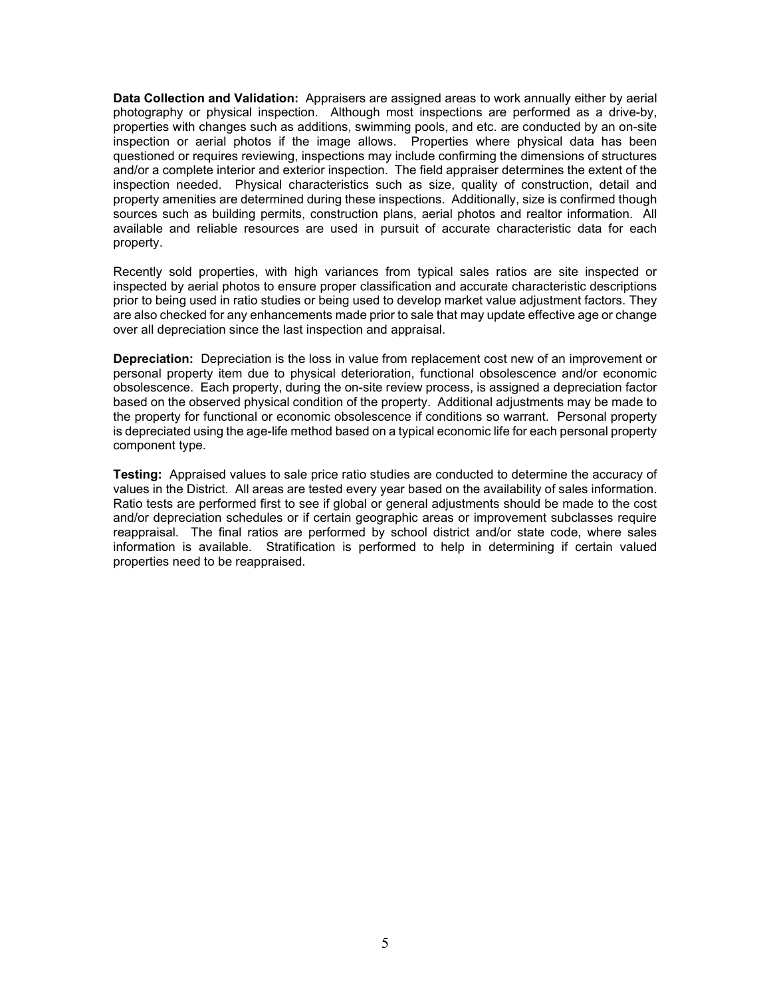**Data Collection and Validation:** Appraisers are assigned areas to work annually either by aerial photography or physical inspection. Although most inspections are performed as a drive-by, properties with changes such as additions, swimming pools, and etc. are conducted by an on-site inspection or aerial photos if the image allows. Properties where physical data has been questioned or requires reviewing, inspections may include confirming the dimensions of structures and/or a complete interior and exterior inspection. The field appraiser determines the extent of the inspection needed. Physical characteristics such as size, quality of construction, detail and property amenities are determined during these inspections. Additionally, size is confirmed though sources such as building permits, construction plans, aerial photos and realtor information. All available and reliable resources are used in pursuit of accurate characteristic data for each property.

Recently sold properties, with high variances from typical sales ratios are site inspected or inspected by aerial photos to ensure proper classification and accurate characteristic descriptions prior to being used in ratio studies or being used to develop market value adjustment factors. They are also checked for any enhancements made prior to sale that may update effective age or change over all depreciation since the last inspection and appraisal.

**Depreciation:** Depreciation is the loss in value from replacement cost new of an improvement or personal property item due to physical deterioration, functional obsolescence and/or economic obsolescence. Each property, during the on-site review process, is assigned a depreciation factor based on the observed physical condition of the property. Additional adjustments may be made to the property for functional or economic obsolescence if conditions so warrant. Personal property is depreciated using the age-life method based on a typical economic life for each personal property component type.

**Testing:** Appraised values to sale price ratio studies are conducted to determine the accuracy of values in the District. All areas are tested every year based on the availability of sales information. Ratio tests are performed first to see if global or general adjustments should be made to the cost and/or depreciation schedules or if certain geographic areas or improvement subclasses require reappraisal. The final ratios are performed by school district and/or state code, where sales information is available. Stratification is performed to help in determining if certain valued properties need to be reappraised.